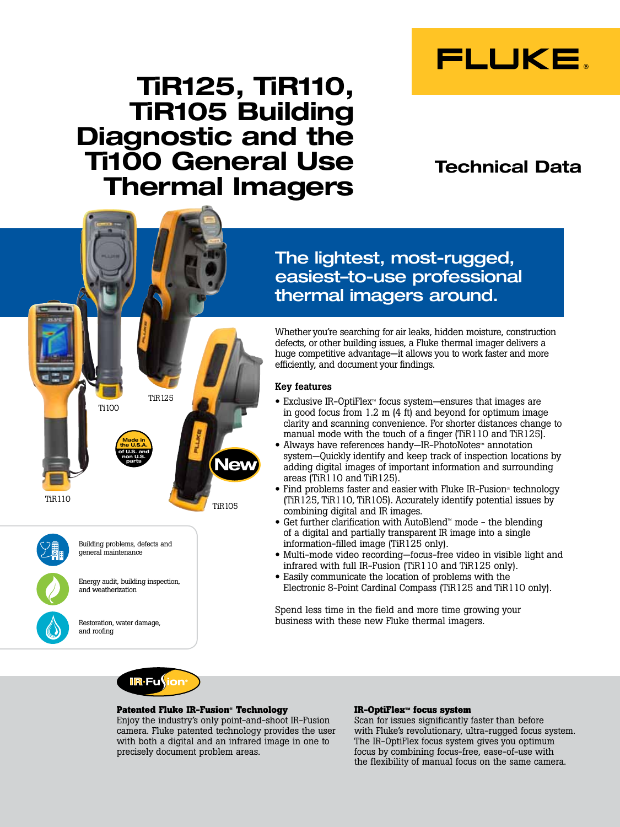

# TiR125, TiR110, TiR105 Building Diagnostic and the Ti100 General Use Thermal Imagers

## Technical Data



Whether you're searching for air leaks, hidden moisture, construction defects, or other building issues, a Fluke thermal imager delivers a huge competitive advantage—it allows you to work faster and more efficiently, and document your findings.

## Key features

- Exclusive IR-OptiFlex™ focus system—ensures that images are in good focus from 1.2 m (4 ft) and beyond for optimum image clarity and scanning convenience. For shorter distances change to manual mode with the touch of a finger (TiR110 and TiR125).
- Always have references handy—IR-PhotoNotes™ annotation system—Quickly identify and keep track of inspection locations by adding digital images of important information and surrounding areas (TiR110 and TiR125).
- Find problems faster and easier with Fluke IR-Fusion® technology (TiR125, TiR110, TiR105). Accurately identify potential issues by combining digital and IR images.
- Get further clarification with AutoBlend™ mode the blending of a digital and partially transparent IR image into a single information-filled image (TiR125 only).
- Multi-mode video recording—focus-free video in visible light and infrared with full IR-Fusion (TiR110 and TiR125 only).
- Easily communicate the location of problems with the Electronic 8-Point Cardinal Compass (TiR125 and TiR110 only).

Spend less time in the field and more time growing your business with these new Fluke thermal imagers.



Made in the U.S.A. of U.S. and non U.S. parts

Ti100

Energy audit, building inspection,

Building problems, defects and general maintenance

and weatherization

and roofing

Restoration, water damage,

TiR125

TiR110

### **Patented Fluke IR-Fusion® Technology**

Enjoy the industry's only point-and-shoot IR-Fusion camera. Fluke patented technology provides the user with both a digital and an infrared image in one to precisely document problem areas.

TiR105

**Nev** 

### **IR-OptiFlex™ focus system**

Scan for issues significantly faster than before with Fluke's revolutionary, ultra-rugged focus system. The IR-OptiFlex focus system gives you optimum focus by combining focus-free, ease-of-use with the flexibility of manual focus on the same camera.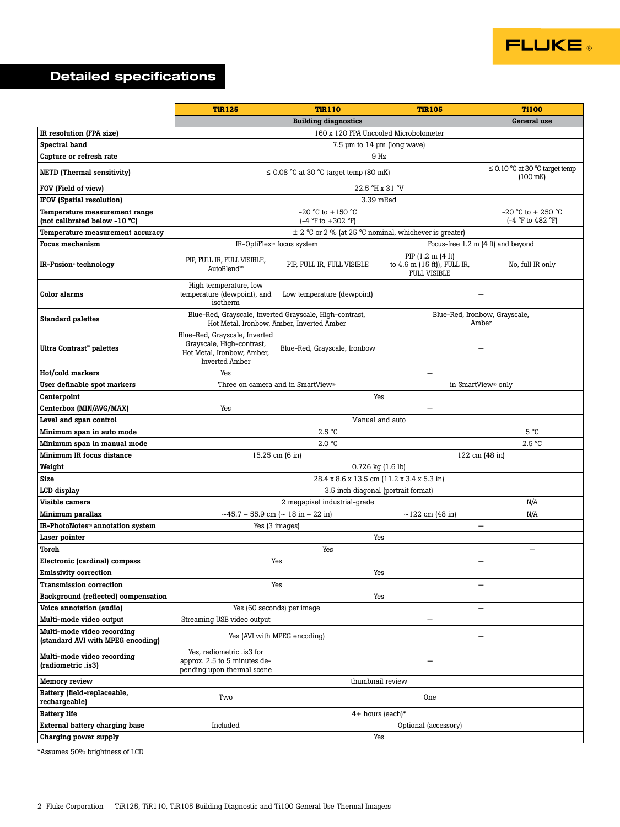

## Detailed specifications

|                                                                 | <b>TiR125</b>                                                                                                     | <b>TiR110</b>                                                   | <b>TiR105</b>                                                           | <b>Ti100</b>                        |  |
|-----------------------------------------------------------------|-------------------------------------------------------------------------------------------------------------------|-----------------------------------------------------------------|-------------------------------------------------------------------------|-------------------------------------|--|
|                                                                 | <b>Building diagnostics</b><br>General use                                                                        |                                                                 |                                                                         |                                     |  |
| IR resolution (FPA size)                                        | 160 x 120 FPA Uncooled Microbolometer                                                                             |                                                                 |                                                                         |                                     |  |
| Spectral band                                                   | $7.5 \mu m$ to $14 \mu m$ (long wave)                                                                             |                                                                 |                                                                         |                                     |  |
| Capture or refresh rate                                         | 9 Hz                                                                                                              |                                                                 |                                                                         |                                     |  |
| <b>NETD</b> (Thermal sensitivity)                               | $\leq$ 0.08 °C at 30 °C target temp (80 mK)<br>$(100 \text{ mK})$                                                 |                                                                 |                                                                         | $\leq$ 0.10 °C at 30 °C target temp |  |
| FOV (Field of view)                                             |                                                                                                                   |                                                                 | 22.5 °H x 31 °V                                                         |                                     |  |
| IFOV (Spatial resolution)                                       |                                                                                                                   | 3.39 mRad                                                       |                                                                         |                                     |  |
| Temperature measurement range                                   |                                                                                                                   | $-20 °C$ to $+150 °C$                                           |                                                                         | $-20$ °C to + 250 °C                |  |
| (not calibrated below -10 °C)                                   |                                                                                                                   | $(-4 \degree F \text{ to } +302 \degree F)$                     |                                                                         | (-4 °F to 482 °F)                   |  |
| Temperature measurement accuracy                                | $\pm$ 2 °C or 2 % (at 25 °C nominal, whichever is greater)                                                        |                                                                 |                                                                         |                                     |  |
| <b>Focus mechanism</b>                                          |                                                                                                                   | Focus-free 1.2 m (4 ft) and beyond<br>IR-OptiFlex™ focus system |                                                                         |                                     |  |
| IR-Fusion <sup>®</sup> technology                               | PIP, FULL IR, FULL VISIBLE,<br>AutoBlend™                                                                         | PIP, FULL IR, FULL VISIBLE                                      | PIP (1.2 m (4 ft)<br>to 4.6 m (15 ft)), FULL IR,<br><b>FULL VISIBLE</b> | No, full IR only                    |  |
| Color alarms                                                    | High termperature, low<br>temperature (dewpoint), and<br>isotherm                                                 | Low temperature (dewpoint)                                      |                                                                         |                                     |  |
| <b>Standard palettes</b>                                        | Blue-Red, Grayscale, Inverted Grayscale, High-contrast,                                                           | Hot Metal, Ironbow, Amber, Inverted Amber                       | Blue-Red, Ironbow, Grayscale,<br>Amber                                  |                                     |  |
| Ultra Contrast" palettes                                        | Blue-Red, Grayscale, Inverted<br>Grayscale, High-contrast,<br>Hot Metal, Ironbow, Amber,<br><b>Inverted Amber</b> | Blue-Red, Grayscale, Ironbow                                    |                                                                         |                                     |  |
| Hot/cold markers                                                | Yes                                                                                                               |                                                                 |                                                                         |                                     |  |
| User definable spot markers                                     |                                                                                                                   | Three on camera and in SmartView®                               | in SmartView <sup>®</sup> only                                          |                                     |  |
| Centerpoint                                                     |                                                                                                                   | Yes                                                             |                                                                         |                                     |  |
| Centerbox (MIN/AVG/MAX)                                         | Yes                                                                                                               |                                                                 | $\overline{\phantom{0}}$                                                |                                     |  |
| Level and span control                                          |                                                                                                                   | Manual and auto                                                 |                                                                         |                                     |  |
| Minimum span in auto mode                                       |                                                                                                                   | 2.5 °C                                                          |                                                                         | $5^{\circ}C$                        |  |
| Minimum span in manual mode                                     |                                                                                                                   | 2.0 °C                                                          |                                                                         | 2.5 °C                              |  |
| Minimum IR focus distance                                       | 122 cm (48 in)<br>15.25 cm (6 in)                                                                                 |                                                                 |                                                                         |                                     |  |
| Weight                                                          |                                                                                                                   | $0.726$ kg $(1.6$ lb)                                           |                                                                         |                                     |  |
| <b>Size</b>                                                     |                                                                                                                   | 28.4 x 8.6 x 13.5 cm (11.2 x 3.4 x 5.3 in)                      |                                                                         |                                     |  |
| LCD display                                                     |                                                                                                                   | 3.5 inch diagonal (portrait format)                             |                                                                         |                                     |  |
| Visible camera                                                  |                                                                                                                   | 2 megapixel industrial-grade                                    |                                                                         | N/A                                 |  |
| Minimum parallax                                                | $\sim$ 45.7 – 55.9 cm ( $\sim$ 18 in – 22 in)                                                                     |                                                                 | $~122 \text{ cm}$ (48 in)                                               | N/A                                 |  |
| IR-PhotoNotes™ annotation system                                | Yes (3 images)<br>$\qquad \qquad -$                                                                               |                                                                 |                                                                         |                                     |  |
| Laser pointer                                                   | Yes                                                                                                               |                                                                 |                                                                         |                                     |  |
| Torch                                                           | Yes<br>$\overline{\phantom{0}}$                                                                                   |                                                                 |                                                                         |                                     |  |
| Electronic (cardinal) compass                                   |                                                                                                                   | Yes<br>—                                                        |                                                                         |                                     |  |
| Emissivity correction                                           |                                                                                                                   | Yes                                                             |                                                                         |                                     |  |
| <b>Transmission correction</b>                                  |                                                                                                                   | Yes                                                             | -                                                                       |                                     |  |
| Background (reflected) compensation                             |                                                                                                                   | Yes                                                             |                                                                         |                                     |  |
| Voice annotation (audio)                                        |                                                                                                                   | Yes (60 seconds) per image                                      |                                                                         |                                     |  |
| Multi-mode video output                                         | Streaming USB video output                                                                                        |                                                                 | $\qquad \qquad -$                                                       |                                     |  |
| Multi-mode video recording<br>(standard AVI with MPEG encoding) | Yes (AVI with MPEG encoding)                                                                                      |                                                                 |                                                                         |                                     |  |
| Multi-mode video recording<br>(radiometric.is3)                 | Yes, radiometric .is3 for<br>approx. 2.5 to 5 minutes de-<br>pending upon thermal scene                           |                                                                 |                                                                         |                                     |  |
| <b>Memory review</b>                                            |                                                                                                                   | thumbnail review                                                |                                                                         |                                     |  |
| Battery (field-replaceable,<br>rechargeable)                    | Two                                                                                                               | <b>One</b>                                                      |                                                                         |                                     |  |
| <b>Battery life</b>                                             | 4+ hours (each)*                                                                                                  |                                                                 |                                                                         |                                     |  |
| External battery charging base                                  | Included<br>Optional (accessory)                                                                                  |                                                                 |                                                                         |                                     |  |
| Charging power supply                                           |                                                                                                                   | Yes                                                             |                                                                         |                                     |  |

\*Assumes 50% brightness of LCD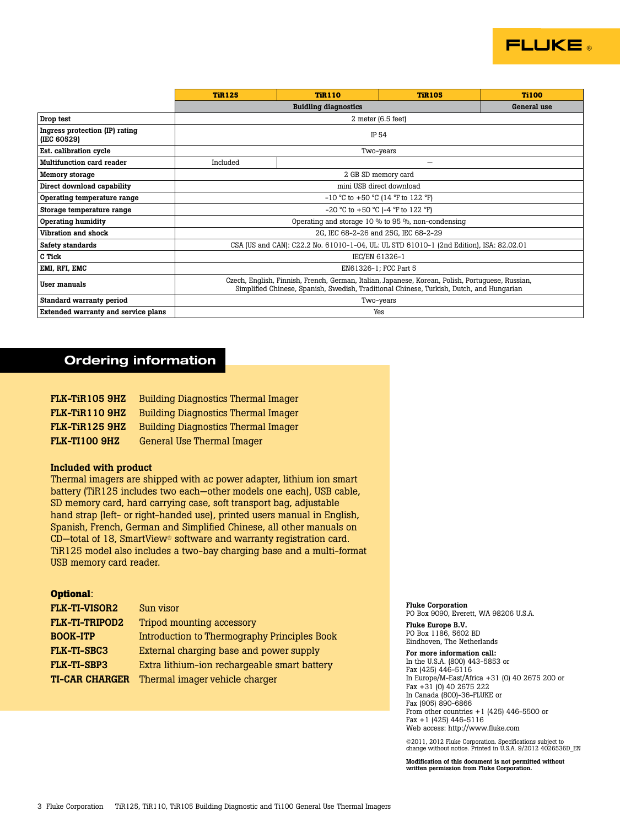

|                                               | <b>TiR125</b>                                                                                                                                                                                | <b>TiR110</b> | <b>TiR105</b> | <b>Ti100</b> |
|-----------------------------------------------|----------------------------------------------------------------------------------------------------------------------------------------------------------------------------------------------|---------------|---------------|--------------|
|                                               | <b>Buidling diagnostics</b>                                                                                                                                                                  |               |               | General use  |
| Drop test                                     | $2$ meter (6.5 feet)                                                                                                                                                                         |               |               |              |
| Ingress protection (IP) rating<br>(IEC 60529) | IP 54                                                                                                                                                                                        |               |               |              |
| Est. calibration cycle                        | Two-years                                                                                                                                                                                    |               |               |              |
| <b>Multifunction card reader</b>              | Included                                                                                                                                                                                     |               |               |              |
| <b>Memory storage</b>                         | 2 GB SD memory card                                                                                                                                                                          |               |               |              |
| Direct download capability                    | mini USB direct download                                                                                                                                                                     |               |               |              |
| Operating temperature range                   | $-10$ °C to $+50$ °C (14 °F to 122 °F)                                                                                                                                                       |               |               |              |
| Storage temperature range                     | $-20$ °C to $+50$ °C ( $-4$ °F to 122 °F)                                                                                                                                                    |               |               |              |
| <b>Operating humidity</b>                     | Operating and storage 10 % to 95 %, non-condensing                                                                                                                                           |               |               |              |
| Vibration and shock                           | 2G. IEC 68-2-26 and 25G. IEC 68-2-29                                                                                                                                                         |               |               |              |
| Safety standards                              | CSA (US and CAN): C22.2 No. 61010-1-04, UL: UL STD 61010-1 (2nd Edition), ISA: 82.02.01                                                                                                      |               |               |              |
| C Tick                                        | IEC/EN 61326-1                                                                                                                                                                               |               |               |              |
| EMI, RFI, EMC                                 | EN61326-1; FCC Part 5                                                                                                                                                                        |               |               |              |
| User manuals                                  | Czech, English, Finnish, French, German, Italian, Japanese, Korean, Polish, Portuguese, Russian,<br>Simplified Chinese, Spanish, Swedish, Traditional Chinese, Turkish, Dutch, and Hungarian |               |               |              |
| Standard warranty period                      | Two-years                                                                                                                                                                                    |               |               |              |
| Extended warranty and service plans           | Yes                                                                                                                                                                                          |               |               |              |

## Ordering information

| <b>FLK-TIR105 9HZ</b> | <b>Building Diagnostics Thermal Imager</b> |
|-----------------------|--------------------------------------------|
| FLK-TIR1109HZ         | <b>Building Diagnostics Thermal Imager</b> |
| FLK-TiR125 9HZ        | <b>Building Diagnostics Thermal Imager</b> |
| <b>FLK-TI100 9HZ</b>  | General Use Thermal Imager                 |

## Included with product

Thermal imagers are shipped with ac power adapter, lithium ion smart battery (TiR125 includes two each—other models one each), USB cable, SD memory card, hard carrying case, soft transport bag, adjustable hand strap (left- or right-handed use), printed users manual in English, Spanish, French, German and Simplified Chinese, all other manuals on CD—total of 18, SmartView® software and warranty registration card. TiR125 model also includes a two-bay charging base and a multi-format USB memory card reader.

## **Optional**:

| <b>FLK-TI-VISOR2</b>  | Sun visor                                    |
|-----------------------|----------------------------------------------|
| <b>FLK-TI-TRIPOD2</b> | Tripod mounting accessory                    |
| <b>BOOK-ITP</b>       | Introduction to Thermography Principles Book |
| <b>FLK-TI-SBC3</b>    | External charging base and power supply      |
| <b>FLK-TI-SBP3</b>    | Extra lithium-ion rechargeable smart battery |
| <b>TI-CAR CHARGER</b> | Thermal imager vehicle charger               |

#### Fluke Corporation

PO Box 9090, Everett, WA 98206 U.S.A. Fluke Europe B.V.

PO Box 1186, 5602 BD Eindhoven, The Netherlands

For more information call: In the U.S.A. (800) 443-5853 or Fax (425) 446-5116 In Europe/M-East/Africa +31 (0) 40 2675 200 or Fax +31 (0) 40 2675 222 In Canada (800)-36-FLUKE or Fax (905) 890-6866 From other countries  $+1$  (425) 446-5500 or Fax +1 (425) 446-5116 Web access: http://www.fluke.com

©2011, 2012 Fluke Corporation. Specifications subject to change without notice. Printed in U.S.A. 9/2012 4026536D\_EN

Modification of this document is not permitted without written permission from Fluke Corporation.